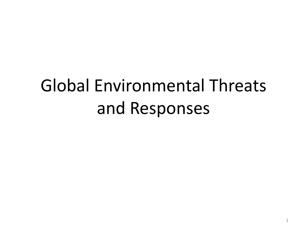# Global Environmental Threats and Responses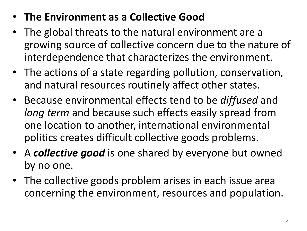- **The Environment as a Collective Good**
- The global threats to the natural environment are a growing source of collective concern due to the nature of interdependence that characterizes the environment.
- The actions of a state regarding pollution, conservation, and natural resources routinely affect other states.
- Because environmental effects tend to be *diffused* and *long term* and because such effects easily spread from one location to another, international environmental politics creates difficult collective goods problems.
- A *collective good* is one shared by everyone but owned by no one.
- The collective goods problem arises in each issue area concerning the environment, resources and population.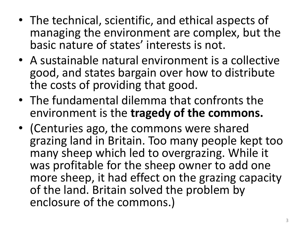- The technical, scientific, and ethical aspects of managing the environment are complex, but the basic nature of states' interests is not.
- A sustainable natural environment is a collective good, and states bargain over how to distribute the costs of providing that good.
- The fundamental dilemma that confronts the environment is the **tragedy of the commons.**
- (Centuries ago, the commons were shared grazing land in Britain. Too many people kept too many sheep which led to overgrazing. While it was profitable for the sheep owner to add one more sheep, it had effect on the grazing capacity of the land. Britain solved the problem by enclosure of the commons.)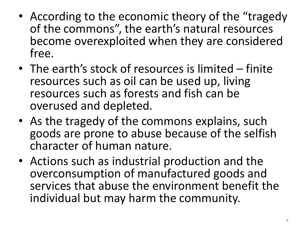- According to the economic theory of the "tragedy" of the commons", the earth's natural resources become overexploited when they are considered free.
- The earth's stock of resources is limited finite resources such as oil can be used up, living resources such as forests and fish can be overused and depleted.
- As the tragedy of the commons explains, such goods are prone to abuse because of the selfish character of human nature.
- Actions such as industrial production and the overconsumption of manufactured goods and services that abuse the environment benefit the individual but may harm the community.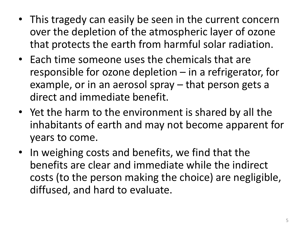- This tragedy can easily be seen in the current concern over the depletion of the atmospheric layer of ozone that protects the earth from harmful solar radiation.
- Each time someone uses the chemicals that are responsible for ozone depletion – in a refrigerator, for example, or in an aerosol spray – that person gets a direct and immediate benefit.
- Yet the harm to the environment is shared by all the inhabitants of earth and may not become apparent for years to come.
- In weighing costs and benefits, we find that the benefits are clear and immediate while the indirect costs (to the person making the choice) are negligible, diffused, and hard to evaluate.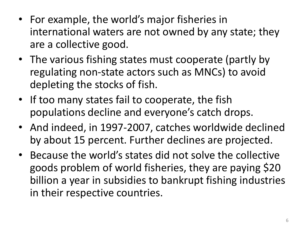- For example, the world's major fisheries in international waters are not owned by any state; they are a collective good.
- The various fishing states must cooperate (partly by regulating non-state actors such as MNCs) to avoid depleting the stocks of fish.
- If too many states fail to cooperate, the fish populations decline and everyone's catch drops.
- And indeed, in 1997-2007, catches worldwide declined by about 15 percent. Further declines are projected.
- Because the world's states did not solve the collective goods problem of world fisheries, they are paying \$20 billion a year in subsidies to bankrupt fishing industries in their respective countries.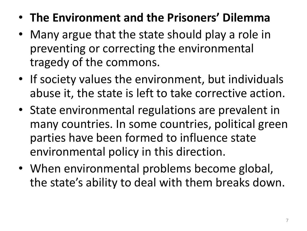- **The Environment and the Prisoners' Dilemma**
- Many argue that the state should play a role in preventing or correcting the environmental tragedy of the commons.
- If society values the environment, but individuals abuse it, the state is left to take corrective action.
- State environmental regulations are prevalent in many countries. In some countries, political green parties have been formed to influence state environmental policy in this direction.
- When environmental problems become global, the state's ability to deal with them breaks down.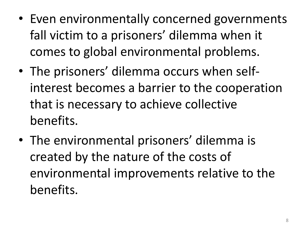- Even environmentally concerned governments fall victim to a prisoners' dilemma when it comes to global environmental problems.
- The prisoners' dilemma occurs when selfinterest becomes a barrier to the cooperation that is necessary to achieve collective benefits.
- The environmental prisoners' dilemma is created by the nature of the costs of environmental improvements relative to the benefits.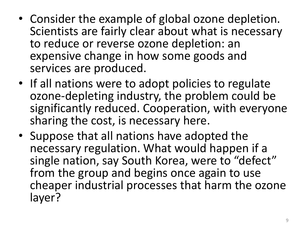- Consider the example of global ozone depletion. Scientists are fairly clear about what is necessary to reduce or reverse ozone depletion: an expensive change in how some goods and services are produced.
- If all nations were to adopt policies to regulate ozone-depleting industry, the problem could be significantly reduced. Cooperation, with everyone sharing the cost, is necessary here.
- Suppose that all nations have adopted the necessary regulation. What would happen if a single nation, say South Korea, were to "defect" from the group and begins once again to use cheaper industrial processes that harm the ozone layer?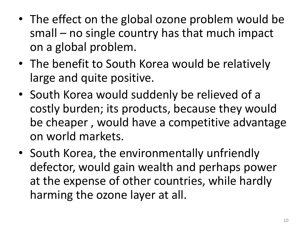- The effect on the global ozone problem would be small – no single country has that much impact on a global problem.
- The benefit to South Korea would be relatively large and quite positive.
- South Korea would suddenly be relieved of a costly burden; its products, because they would be cheaper , would have a competitive advantage on world markets.
- South Korea, the environmentally unfriendly defector, would gain wealth and perhaps power at the expense of other countries, while hardly harming the ozone layer at all.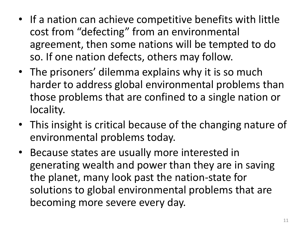- If a nation can achieve competitive benefits with little cost from "defecting" from an environmental agreement, then some nations will be tempted to do so. If one nation defects, others may follow.
- The prisoners' dilemma explains why it is so much harder to address global environmental problems than those problems that are confined to a single nation or locality.
- This insight is critical because of the changing nature of environmental problems today.
- Because states are usually more interested in generating wealth and power than they are in saving the planet, many look past the nation-state for solutions to global environmental problems that are becoming more severe every day.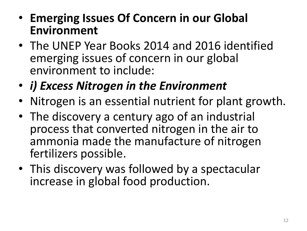- **Emerging Issues Of Concern in our Global Environment**
- The UNEP Year Books 2014 and 2016 identified emerging issues of concern in our global environment to include:
- *i) Excess Nitrogen in the Environment*
- Nitrogen is an essential nutrient for plant growth.
- The discovery a century ago of an industrial process that converted nitrogen in the air to ammonia made the manufacture of nitrogen fertilizers possible.
- This discovery was followed by a spectacular increase in global food production.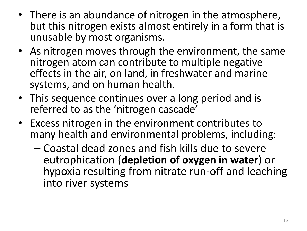- There is an abundance of nitrogen in the atmosphere, but this nitrogen exists almost entirely in a form that is unusable by most organisms.
- As nitrogen moves through the environment, the same nitrogen atom can contribute to multiple negative effects in the air, on land, in freshwater and marine systems, and on human health.
- This sequence continues over a long period and is referred to as the 'nitrogen cascade'
- Excess nitrogen in the environment contributes to many health and environmental problems, including:
	- Coastal dead zones and fish kills due to severe eutrophication (**depletion of oxygen in water**) or hypoxia resulting from nitrate run-off and leaching into river systems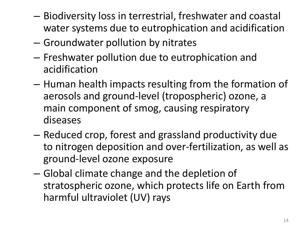- Biodiversity loss in terrestrial, freshwater and coastal water systems due to eutrophication and acidification
- Groundwater pollution by nitrates
- Freshwater pollution due to eutrophication and acidification
- Human health impacts resulting from the formation of aerosols and ground-level (tropospheric) ozone, a main component of smog, causing respiratory diseases
- Reduced crop, forest and grassland productivity due to nitrogen deposition and over-fertilization, as well as ground-level ozone exposure
- Global climate change and the depletion of stratospheric ozone, which protects life on Earth from harmful ultraviolet (UV) rays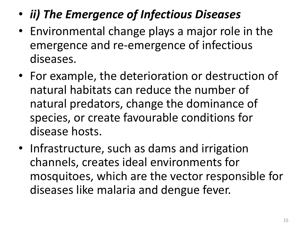- *ii) The Emergence of Infectious Diseases*
- Environmental change plays a major role in the emergence and re-emergence of infectious diseases.
- For example, the deterioration or destruction of natural habitats can reduce the number of natural predators, change the dominance of species, or create favourable conditions for disease hosts.
- Infrastructure, such as dams and irrigation channels, creates ideal environments for mosquitoes, which are the vector responsible for diseases like malaria and dengue fever.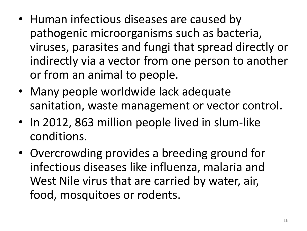- Human infectious diseases are caused by pathogenic microorganisms such as bacteria, viruses, parasites and fungi that spread directly or indirectly via a vector from one person to another or from an animal to people.
- Many people worldwide lack adequate sanitation, waste management or vector control.
- In 2012, 863 million people lived in slum-like conditions.
- Overcrowding provides a breeding ground for infectious diseases like influenza, malaria and West Nile virus that are carried by water, air, food, mosquitoes or rodents.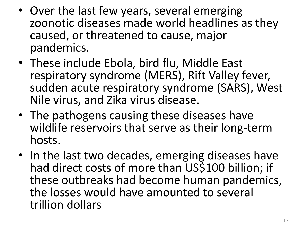- Over the last few years, several emerging zoonotic diseases made world headlines as they caused, or threatened to cause, major pandemics.
- These include Ebola, bird flu, Middle East respiratory syndrome (MERS), Rift Valley fever, sudden acute respiratory syndrome (SARS), West Nile virus, and Zika virus disease.
- The pathogens causing these diseases have wildlife reservoirs that serve as their long-term hosts.
- In the last two decades, emerging diseases have had direct costs of more than US\$100 billion; if these outbreaks had become human pandemics, the losses would have amounted to several trillion dollars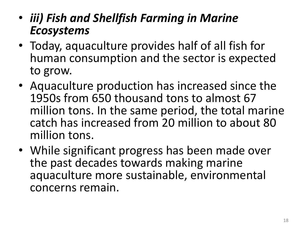- *iii) Fish and Shellfish Farming in Marine Ecosystems*
- Today, aquaculture provides half of all fish for human consumption and the sector is expected to grow.
- Aquaculture production has increased since the 1950s from 650 thousand tons to almost 67 million tons. In the same period, the total marine catch has increased from 20 million to about 80 million tons.
- While significant progress has been made over the past decades towards making marine aquaculture more sustainable, environmental concerns remain.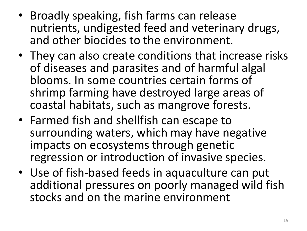- Broadly speaking, fish farms can release nutrients, undigested feed and veterinary drugs, and other biocides to the environment.
- They can also create conditions that increase risks of diseases and parasites and of harmful algal blooms. In some countries certain forms of shrimp farming have destroyed large areas of coastal habitats, such as mangrove forests.
- Farmed fish and shellfish can escape to surrounding waters, which may have negative impacts on ecosystems through genetic regression or introduction of invasive species.
- Use of fish-based feeds in aquaculture can put additional pressures on poorly managed wild fish stocks and on the marine environment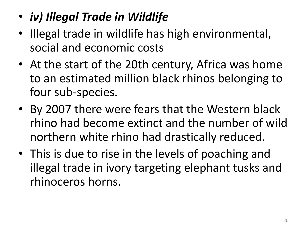## • *iv) Illegal Trade in Wildlife*

- Illegal trade in wildlife has high environmental, social and economic costs
- At the start of the 20th century, Africa was home to an estimated million black rhinos belonging to four sub-species.
- By 2007 there were fears that the Western black rhino had become extinct and the number of wild northern white rhino had drastically reduced.
- This is due to rise in the levels of poaching and illegal trade in ivory targeting elephant tusks and rhinoceros horns.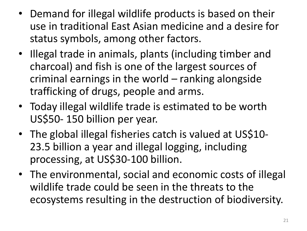- Demand for illegal wildlife products is based on their use in traditional East Asian medicine and a desire for status symbols, among other factors.
- Illegal trade in animals, plants (including timber and charcoal) and fish is one of the largest sources of criminal earnings in the world – ranking alongside trafficking of drugs, people and arms.
- Today illegal wildlife trade is estimated to be worth US\$50- 150 billion per year.
- The global illegal fisheries catch is valued at US\$10-23.5 billion a year and illegal logging, including processing, at US\$30-100 billion.
- The environmental, social and economic costs of illegal wildlife trade could be seen in the threats to the ecosystems resulting in the destruction of biodiversity.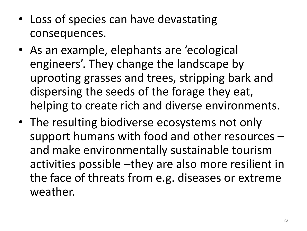- Loss of species can have devastating consequences.
- As an example, elephants are 'ecological engineers'. They change the landscape by uprooting grasses and trees, stripping bark and dispersing the seeds of the forage they eat, helping to create rich and diverse environments.
- The resulting biodiverse ecosystems not only support humans with food and other resources – and make environmentally sustainable tourism activities possible –they are also more resilient in the face of threats from e.g. diseases or extreme weather.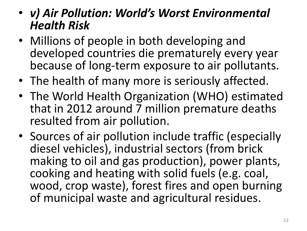#### • *v) Air Pollution: World's Worst Environmental Health Risk*

- Millions of people in both developing and developed countries die prematurely every year because of long-term exposure to air pollutants.
- The health of many more is seriously affected.
- The World Health Organization (WHO) estimated that in 2012 around 7 million premature deaths resulted from air pollution.
- Sources of air pollution include traffic (especially diesel vehicles), industrial sectors (from brick making to oil and gas production), power plants, cooking and heating with solid fuels (e.g. coal, wood, crop waste), forest fires and open burning of municipal waste and agricultural residues.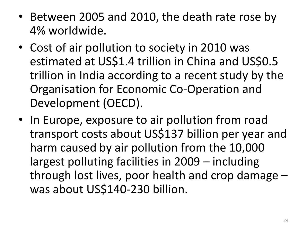- Between 2005 and 2010, the death rate rose by 4% worldwide.
- Cost of air pollution to society in 2010 was estimated at US\$1.4 trillion in China and US\$0.5 trillion in India according to a recent study by the Organisation for Economic Co-Operation and Development (OECD).
- In Europe, exposure to air pollution from road transport costs about US\$137 billion per year and harm caused by air pollution from the 10,000 largest polluting facilities in 2009 – including through lost lives, poor health and crop damage – was about US\$140-230 billion.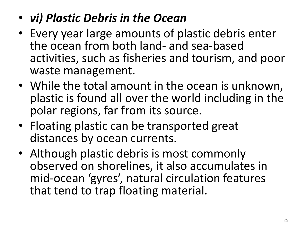## • *vi) Plastic Debris in the Ocean*

- Every year large amounts of plastic debris enter the ocean from both land- and sea-based activities, such as fisheries and tourism, and poor waste management.
- While the total amount in the ocean is unknown, plastic is found all over the world including in the polar regions, far from its source.
- Floating plastic can be transported great distances by ocean currents.
- Although plastic debris is most commonly observed on shorelines, it also accumulates in mid-ocean 'gyres', natural circulation features that tend to trap floating material.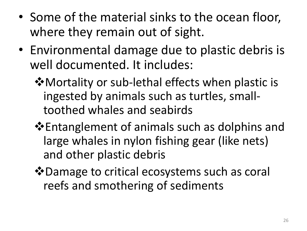- Some of the material sinks to the ocean floor, where they remain out of sight.
- Environmental damage due to plastic debris is well documented. It includes:
	- $\dots$  Mortality or sub-lethal effects when plastic is ingested by animals such as turtles, smalltoothed whales and seabirds
	- **Entanglement of animals such as dolphins and** large whales in nylon fishing gear (like nets) and other plastic debris
	- $\dots$  Damage to critical ecosystems such as coral reefs and smothering of sediments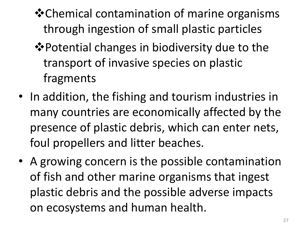- Chemical contamination of marine organisms through ingestion of small plastic particles
- $\lozenge$  Potential changes in biodiversity due to the transport of invasive species on plastic fragments
- In addition, the fishing and tourism industries in many countries are economically affected by the presence of plastic debris, which can enter nets, foul propellers and litter beaches.
- A growing concern is the possible contamination of fish and other marine organisms that ingest plastic debris and the possible adverse impacts on ecosystems and human health.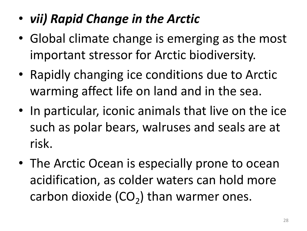- *vii) Rapid Change in the Arctic*
- Global climate change is emerging as the most important stressor for Arctic biodiversity.
- Rapidly changing ice conditions due to Arctic warming affect life on land and in the sea.
- In particular, iconic animals that live on the ice such as polar bears, walruses and seals are at risk.
- The Arctic Ocean is especially prone to ocean acidification, as colder waters can hold more carbon dioxide  $(CO_2)$  than warmer ones.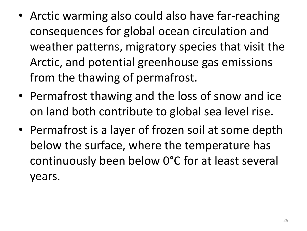- Arctic warming also could also have far-reaching consequences for global ocean circulation and weather patterns, migratory species that visit the Arctic, and potential greenhouse gas emissions from the thawing of permafrost.
- Permafrost thawing and the loss of snow and ice on land both contribute to global sea level rise.
- Permafrost is a layer of frozen soil at some depth below the surface, where the temperature has continuously been below 0°C for at least several years.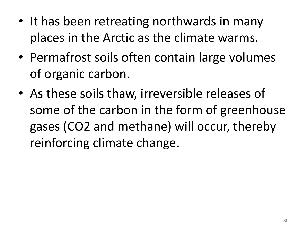- It has been retreating northwards in many places in the Arctic as the climate warms.
- Permafrost soils often contain large volumes of organic carbon.
- As these soils thaw, irreversible releases of some of the carbon in the form of greenhouse gases (CO2 and methane) will occur, thereby reinforcing climate change.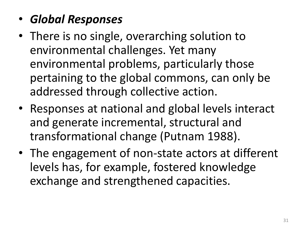- *Global Responses*
- There is no single, overarching solution to environmental challenges. Yet many environmental problems, particularly those pertaining to the global commons, can only be addressed through collective action.
- Responses at national and global levels interact and generate incremental, structural and transformational change (Putnam 1988).
- The engagement of non-state actors at different levels has, for example, fostered knowledge exchange and strengthened capacities.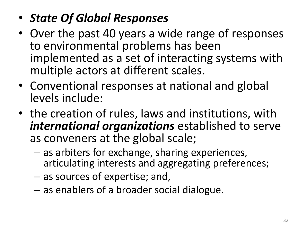- *State Of Global Responses*
- Over the past 40 years a wide range of responses to environmental problems has been implemented as a set of interacting systems with multiple actors at different scales.
- Conventional responses at national and global levels include:
- the creation of rules, laws and institutions, with *international organizations* established to serve as conveners at the global scale;
	- as arbiters for exchange, sharing experiences, articulating interests and aggregating preferences;
	- as sources of expertise; and,
	- as enablers of a broader social dialogue.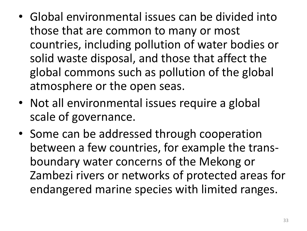- Global environmental issues can be divided into those that are common to many or most countries, including pollution of water bodies or solid waste disposal, and those that affect the global commons such as pollution of the global atmosphere or the open seas.
- Not all environmental issues require a global scale of governance.
- Some can be addressed through cooperation between a few countries, for example the transboundary water concerns of the Mekong or Zambezi rivers or networks of protected areas for endangered marine species with limited ranges.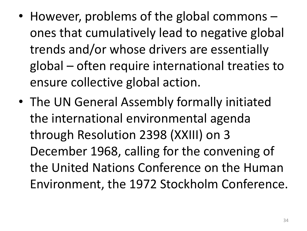- However, problems of the global commons ones that cumulatively lead to negative global trends and/or whose drivers are essentially global – often require international treaties to ensure collective global action.
- The UN General Assembly formally initiated the international environmental agenda through Resolution 2398 (XXIII) on 3 December 1968, calling for the convening of the United Nations Conference on the Human Environment, the 1972 Stockholm Conference.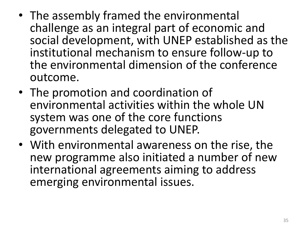- The assembly framed the environmental challenge as an integral part of economic and social development, with UNEP established as the institutional mechanism to ensure follow-up to the environmental dimension of the conference outcome.
- The promotion and coordination of environmental activities within the whole UN system was one of the core functions governments delegated to UNEP.
- With environmental awareness on the rise, the new programme also initiated a number of new international agreements aiming to address emerging environmental issues.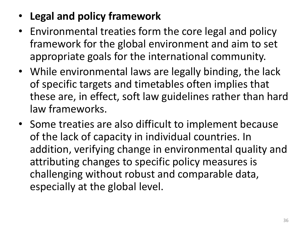- **Legal and policy framework**
- Environmental treaties form the core legal and policy framework for the global environment and aim to set appropriate goals for the international community.
- While environmental laws are legally binding, the lack of specific targets and timetables often implies that these are, in effect, soft law guidelines rather than hard law frameworks.
- Some treaties are also difficult to implement because of the lack of capacity in individual countries. In addition, verifying change in environmental quality and attributing changes to specific policy measures is challenging without robust and comparable data, especially at the global level.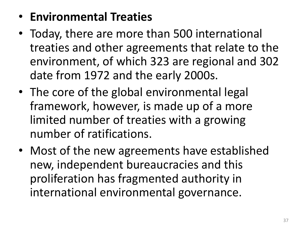### • **Environmental Treaties**

- Today, there are more than 500 international treaties and other agreements that relate to the environment, of which 323 are regional and 302 date from 1972 and the early 2000s.
- The core of the global environmental legal framework, however, is made up of a more limited number of treaties with a growing number of ratifications.
- Most of the new agreements have established new, independent bureaucracies and this proliferation has fragmented authority in international environmental governance.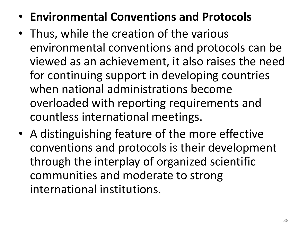- **Environmental Conventions and Protocols**
- Thus, while the creation of the various environmental conventions and protocols can be viewed as an achievement, it also raises the need for continuing support in developing countries when national administrations become overloaded with reporting requirements and countless international meetings.
- A distinguishing feature of the more effective conventions and protocols is their development through the interplay of organized scientific communities and moderate to strong international institutions.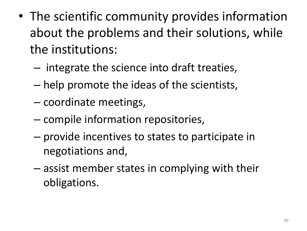- The scientific community provides information about the problems and their solutions, while the institutions:
	- integrate the science into draft treaties,
	- help promote the ideas of the scientists,
	- coordinate meetings,
	- compile information repositories,
	- provide incentives to states to participate in negotiations and,
	- assist member states in complying with their obligations.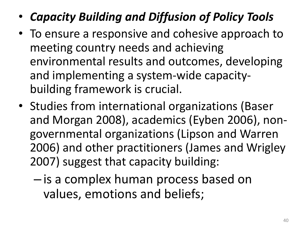- *Capacity Building and Diffusion of Policy Tools*
- To ensure a responsive and cohesive approach to meeting country needs and achieving environmental results and outcomes, developing and implementing a system-wide capacitybuilding framework is crucial.
- Studies from international organizations (Baser and Morgan 2008), academics (Eyben 2006), nongovernmental organizations (Lipson and Warren 2006) and other practitioners (James and Wrigley 2007) suggest that capacity building:
	- is a complex human process based on values, emotions and beliefs;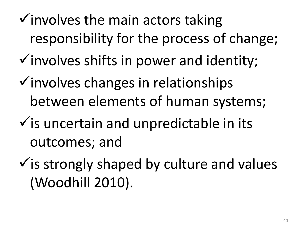- $\checkmark$  involves the main actors taking responsibility for the process of change;
- $\checkmark$  involves shifts in power and identity;
- $\checkmark$  involves changes in relationships between elements of human systems;
- $\checkmark$  is uncertain and unpredictable in its outcomes; and
- $\checkmark$  is strongly shaped by culture and values (Woodhill 2010).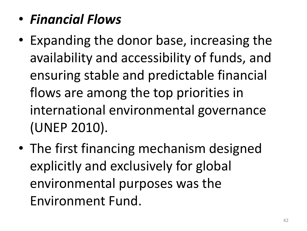- *Financial Flows*
- Expanding the donor base, increasing the availability and accessibility of funds, and ensuring stable and predictable financial flows are among the top priorities in international environmental governance (UNEP 2010).
- The first financing mechanism designed explicitly and exclusively for global environmental purposes was the Environment Fund.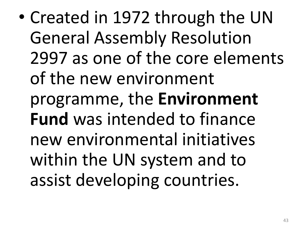• Created in 1972 through the UN General Assembly Resolution 2997 as one of the core elements of the new environment programme, the **Environment Fund** was intended to finance new environmental initiatives within the UN system and to assist developing countries.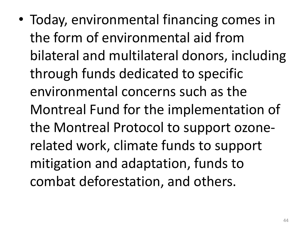• Today, environmental financing comes in the form of environmental aid from bilateral and multilateral donors, including through funds dedicated to specific environmental concerns such as the Montreal Fund for the implementation of the Montreal Protocol to support ozonerelated work, climate funds to support mitigation and adaptation, funds to combat deforestation, and others.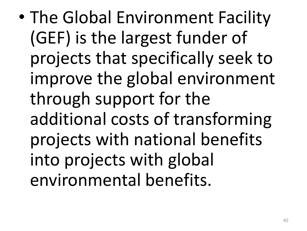• The Global Environment Facility (GEF) is the largest funder of projects that specifically seek to improve the global environment through support for the additional costs of transforming projects with national benefits into projects with global environmental benefits.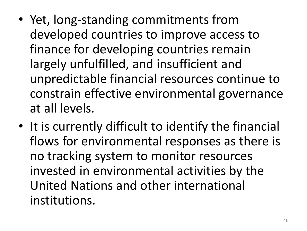- Yet, long-standing commitments from developed countries to improve access to finance for developing countries remain largely unfulfilled, and insufficient and unpredictable financial resources continue to constrain effective environmental governance at all levels.
- It is currently difficult to identify the financial flows for environmental responses as there is no tracking system to monitor resources invested in environmental activities by the United Nations and other international institutions.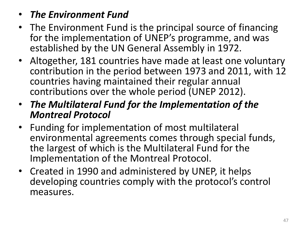- *The Environment Fund*
- The Environment Fund is the principal source of financing for the implementation of UNEP's programme, and was established by the UN General Assembly in 1972.
- Altogether, 181 countries have made at least one voluntary contribution in the period between 1973 and 2011, with 12 countries having maintained their regular annual contributions over the whole period (UNEP 2012).
- *The Multilateral Fund for the Implementation of the Montreal Protocol*
- Funding for implementation of most multilateral environmental agreements comes through special funds, the largest of which is the Multilateral Fund for the Implementation of the Montreal Protocol.
- Created in 1990 and administered by UNEP, it helps developing countries comply with the protocol's control measures.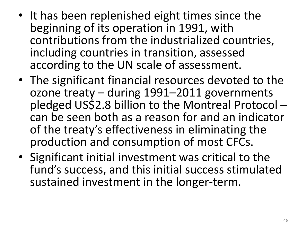- It has been replenished eight times since the beginning of its operation in 1991, with contributions from the industrialized countries, including countries in transition, assessed according to the UN scale of assessment.
- The significant financial resources devoted to the ozone treaty – during 1991–2011 governments pledged US\$2.8 billion to the Montreal Protocol – can be seen both as a reason for and an indicator of the treaty's effectiveness in eliminating the production and consumption of most CFCs.
- Significant initial investment was critical to the fund's success, and this initial success stimulated sustained investment in the longer-term.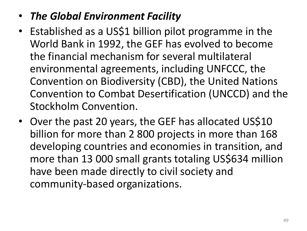#### • *The Global Environment Facility*

- Established as a US\$1 billion pilot programme in the World Bank in 1992, the GEF has evolved to become the financial mechanism for several multilateral environmental agreements, including UNFCCC, the Convention on Biodiversity (CBD), the United Nations Convention to Combat Desertification (UNCCD) and the Stockholm Convention.
- Over the past 20 years, the GEF has allocated US\$10 billion for more than 2 800 projects in more than 168 developing countries and economies in transition, and more than 13 000 small grants totaling US\$634 million have been made directly to civil society and community-based organizations.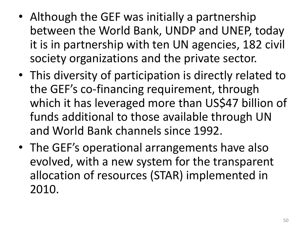- Although the GEF was initially a partnership between the World Bank, UNDP and UNEP, today it is in partnership with ten UN agencies, 182 civil society organizations and the private sector.
- This diversity of participation is directly related to the GEF's co-financing requirement, through which it has leveraged more than US\$47 billion of funds additional to those available through UN and World Bank channels since 1992.
- The GEF's operational arrangements have also evolved, with a new system for the transparent allocation of resources (STAR) implemented in 2010.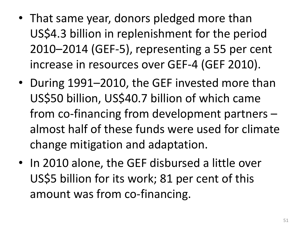- That same year, donors pledged more than US\$4.3 billion in replenishment for the period 2010–2014 (GEF-5), representing a 55 per cent increase in resources over GEF-4 (GEF 2010).
- During 1991–2010, the GEF invested more than US\$50 billion, US\$40.7 billion of which came from co-financing from development partners – almost half of these funds were used for climate change mitigation and adaptation.
- In 2010 alone, the GEF disbursed a little over US\$5 billion for its work; 81 per cent of this amount was from co-financing.